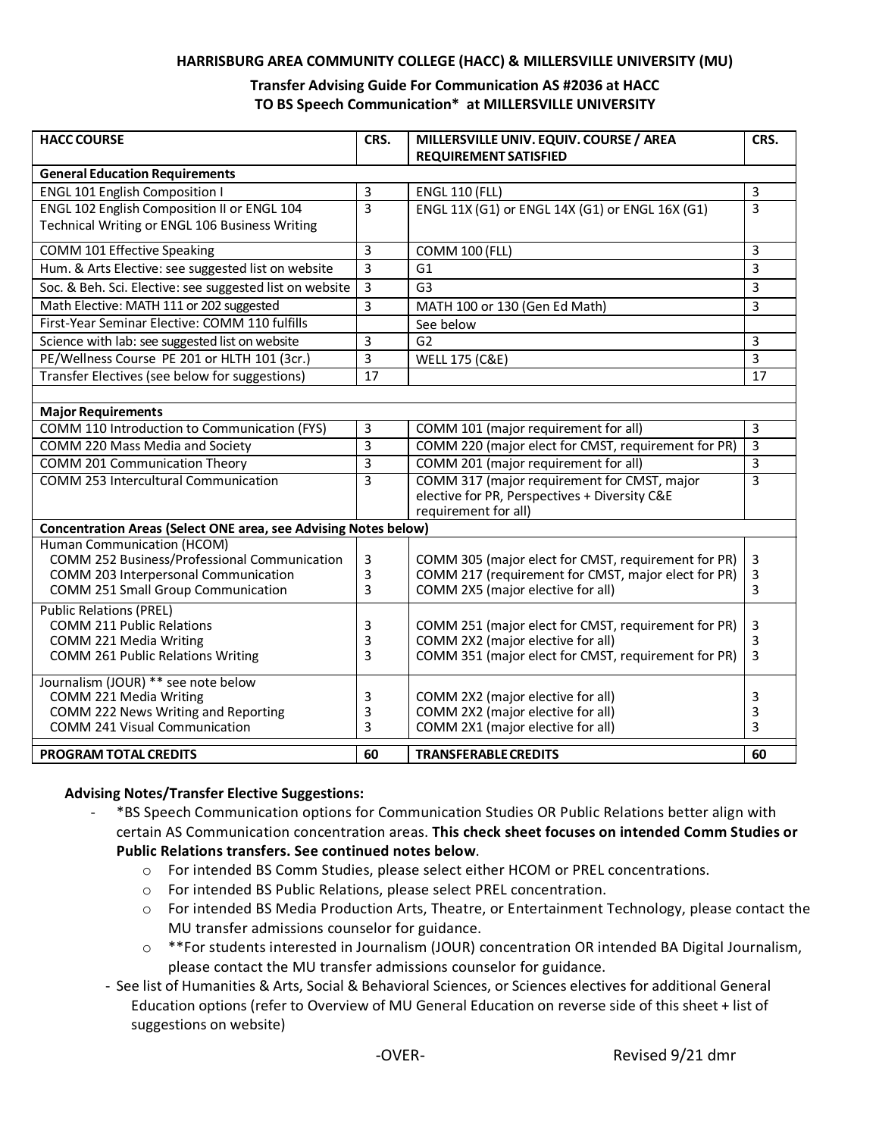#### **HARRISBURG AREA COMMUNITY COLLEGE (HACC) & MILLERSVILLE UNIVERSITY (MU)**

#### **Transfer Advising Guide For Communication AS #2036 at HACC TO BS Speech Communication\* at MILLERSVILLE UNIVERSITY**

| <b>HACC COURSE</b>                                                                                   | CRS.           | MILLERSVILLE UNIV. EQUIV. COURSE / AREA                                  | CRS.                |
|------------------------------------------------------------------------------------------------------|----------------|--------------------------------------------------------------------------|---------------------|
|                                                                                                      |                | <b>REQUIREMENT SATISFIED</b>                                             |                     |
| <b>General Education Requirements</b>                                                                | 3              |                                                                          |                     |
| <b>ENGL 101 English Composition I</b><br>ENGL 102 English Composition II or ENGL 104                 | $\overline{3}$ | <b>ENGL 110 (FLL)</b><br>ENGL 11X (G1) or ENGL 14X (G1) or ENGL 16X (G1) | 3<br>$\overline{3}$ |
| Technical Writing or ENGL 106 Business Writing                                                       |                |                                                                          |                     |
| COMM 101 Effective Speaking                                                                          | 3              | <b>COMM 100 (FLL)</b>                                                    | 3                   |
| Hum. & Arts Elective: see suggested list on website                                                  | 3              | G <sub>1</sub>                                                           | 3                   |
| Soc. & Beh. Sci. Elective: see suggested list on website                                             | 3              | G <sub>3</sub>                                                           | 3                   |
| Math Elective: MATH 111 or 202 suggested                                                             | 3              | MATH 100 or 130 (Gen Ed Math)                                            | 3                   |
| First-Year Seminar Elective: COMM 110 fulfills                                                       |                | See below                                                                |                     |
| Science with lab: see suggested list on website                                                      | 3              | G <sub>2</sub>                                                           | 3                   |
| PE/Wellness Course PE 201 or HLTH 101 (3cr.)                                                         | 3              | <b>WELL 175 (C&amp;E)</b>                                                | 3                   |
| Transfer Electives (see below for suggestions)                                                       | 17             |                                                                          | 17                  |
|                                                                                                      |                |                                                                          |                     |
| <b>Major Requirements</b>                                                                            |                |                                                                          |                     |
| COMM 110 Introduction to Communication (FYS)                                                         | 3              | COMM 101 (major requirement for all)                                     | 3                   |
| COMM 220 Mass Media and Society                                                                      | 3              | COMM 220 (major elect for CMST, requirement for PR)                      | $\overline{3}$      |
| COMM 201 Communication Theory                                                                        | 3              | COMM 201 (major requirement for all)                                     | 3                   |
| <b>COMM 253 Intercultural Communication</b>                                                          | 3              | COMM 317 (major requirement for CMST, major                              | 3                   |
|                                                                                                      |                | elective for PR, Perspectives + Diversity C&E                            |                     |
|                                                                                                      |                | requirement for all)                                                     |                     |
| <b>Concentration Areas (Select ONE area, see Advising Notes below)</b><br>Human Communication (HCOM) |                |                                                                          |                     |
| COMM 252 Business/Professional Communication                                                         | 3              | COMM 305 (major elect for CMST, requirement for PR)                      | 3                   |
| COMM 203 Interpersonal Communication                                                                 | 3              | COMM 217 (requirement for CMST, major elect for PR)                      | 3                   |
| COMM 251 Small Group Communication                                                                   | 3              | COMM 2X5 (major elective for all)                                        | 3                   |
| <b>Public Relations (PREL)</b>                                                                       |                |                                                                          |                     |
| <b>COMM 211 Public Relations</b>                                                                     | 3              | COMM 251 (major elect for CMST, requirement for PR)                      | 3                   |
| COMM 221 Media Writing                                                                               | 3              | COMM 2X2 (major elective for all)                                        | 3                   |
| <b>COMM 261 Public Relations Writing</b>                                                             | 3              | COMM 351 (major elect for CMST, requirement for PR)                      | 3                   |
| Journalism (JOUR) ** see note below                                                                  |                |                                                                          |                     |
| COMM 221 Media Writing                                                                               | 3              | COMM 2X2 (major elective for all)                                        | 3                   |
| COMM 222 News Writing and Reporting                                                                  | 3              | COMM 2X2 (major elective for all)                                        | 3                   |
| <b>COMM 241 Visual Communication</b>                                                                 | 3              | COMM 2X1 (major elective for all)                                        | 3                   |
| <b>PROGRAM TOTAL CREDITS</b>                                                                         | 60             | <b>TRANSFERABLE CREDITS</b>                                              | 60                  |

#### **Advising Notes/Transfer Elective Suggestions:**

- \*BS Speech Communication options for Communication Studies OR Public Relations better align with certain AS Communication concentration areas. **This check sheet focuses on intended Comm Studies or Public Relations transfers. See continued notes below**.
	- o For intended BS Comm Studies, please select either HCOM or PREL concentrations.
	- o For intended BS Public Relations, please select PREL concentration.
	- $\circ$  For intended BS Media Production Arts, Theatre, or Entertainment Technology, please contact the MU transfer admissions counselor for guidance.
	- o \*\*For students interested in Journalism (JOUR) concentration OR intended BA Digital Journalism, please contact the MU transfer admissions counselor for guidance.
	- See list of Humanities & Arts, Social & Behavioral Sciences, or Sciences electives for additional General Education options (refer to Overview of MU General Education on reverse side of this sheet + list of suggestions on website)